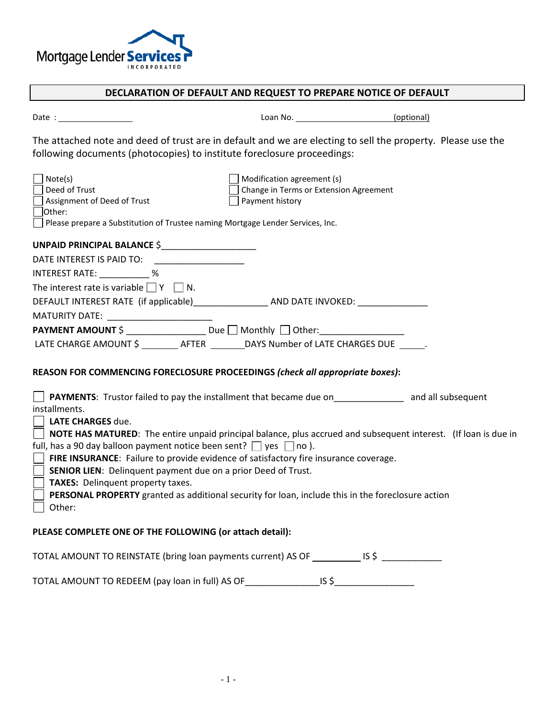

## **DECLARATION OF DEFAULT AND REQUEST TO PREPARE NOTICE OF DEFAULT**

| Date |  |
|------|--|
|      |  |

Loan No. \_\_\_\_\_\_\_\_\_\_\_\_\_\_\_\_\_\_\_\_\_\_\_\_\_\_\_(optional)

The attached note and deed of trust are in default and we are electing to sell the property. Please use the following documents (photocopies) to institute foreclosure proceedings:

| Note(s)<br>Deed of Trust<br>Assignment of Deed of Trust<br>l lOther:<br>Please prepare a Substitution of Trustee naming Mortgage Lender Services, Inc. | Modification agreement (s)<br>Change in Terms or Extension Agreement<br>Payment history                                 |  |
|--------------------------------------------------------------------------------------------------------------------------------------------------------|-------------------------------------------------------------------------------------------------------------------------|--|
|                                                                                                                                                        |                                                                                                                         |  |
|                                                                                                                                                        |                                                                                                                         |  |
| INTEREST RATE: 36                                                                                                                                      |                                                                                                                         |  |
| The interest rate is variable $\Box Y \Box N$ .                                                                                                        |                                                                                                                         |  |
|                                                                                                                                                        |                                                                                                                         |  |
|                                                                                                                                                        |                                                                                                                         |  |
|                                                                                                                                                        | PAYMENT AMOUNT \$ ___________________ Due □ Monthly □ Other: ___________________                                        |  |
|                                                                                                                                                        | LATE CHARGE AMOUNT \$ _________ AFTER ________ DAYS Number of LATE CHARGES DUE ______.                                  |  |
|                                                                                                                                                        | REASON FOR COMMENCING FORECLOSURE PROCEEDINGS (check all appropriate boxes):                                            |  |
|                                                                                                                                                        | PAYMENTS: Trustor failed to pay the installment that became due on_____________ and all subsequent                      |  |
| installments.<br><b>LATE CHARGES due.</b>                                                                                                              |                                                                                                                         |  |
|                                                                                                                                                        | $\vert$ NOTE HAS MATURED: The entire unpaid principal balance, plus accrued and subsequent interest. (If loan is due in |  |
| full, has a 90 day balloon payment notice been sent? $\Box$ yes $\Box$ no ).                                                                           |                                                                                                                         |  |
|                                                                                                                                                        | FIRE INSURANCE: Failure to provide evidence of satisfactory fire insurance coverage.                                    |  |
| $\overline{\phantom{a}}$<br><b>SENIOR LIEN:</b> Delinquent payment due on a prior Deed of Trust.                                                       |                                                                                                                         |  |
| TAXES: Delinquent property taxes.<br>$\mathbf{I}$                                                                                                      |                                                                                                                         |  |
|                                                                                                                                                        | PERSONAL PROPERTY granted as additional security for loan, include this in the foreclosure action                       |  |
| Other:                                                                                                                                                 |                                                                                                                         |  |
| PLEASE COMPLETE ONE OF THE FOLLOWING (or attach detail):                                                                                               |                                                                                                                         |  |

TOTAL AMOUNT TO REINSTATE (bring loan payments current) AS OF \_\_\_\_\_\_\_\_\_\_\_\_\_\_\_\_\_\_ IS \$ \_\_\_\_\_\_\_\_\_\_\_\_\_

TOTAL AMOUNT TO REDEEM (pay loan in full) AS OF\_\_\_\_\_\_\_\_\_\_\_\_\_\_\_\_\_\_\_\_\_\_\_\_\_\_\_\_\_\_\_\_\_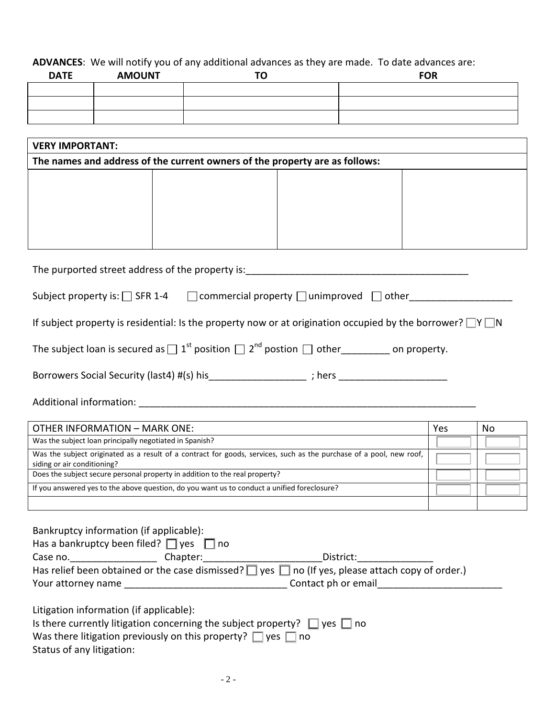## **ADVANCES**: We will notify you of any additional advances as they are made. To date advances are:

| <b>DATE</b> | <b>AMOUNT</b> | тΩ<br>u | <b>FOR</b> |
|-------------|---------------|---------|------------|
|             |               |         |            |
|             |               |         |            |
|             |               |         |            |

| <b>VERY IMPORTANT:</b>                                                      |  |  |  |  |
|-----------------------------------------------------------------------------|--|--|--|--|
| The names and address of the current owners of the property are as follows: |  |  |  |  |
|                                                                             |  |  |  |  |
|                                                                             |  |  |  |  |
|                                                                             |  |  |  |  |
|                                                                             |  |  |  |  |
|                                                                             |  |  |  |  |

| The purported street address of the property is: |  |
|--------------------------------------------------|--|
|                                                  |  |

| Subject property is: □ SFR 1-4 | $\Box$ commercial property $\Box$ unimproved $\Box$ other |  |
|--------------------------------|-----------------------------------------------------------|--|
|--------------------------------|-----------------------------------------------------------|--|

If subject property is residential: Is the property now or at origination occupied by the borrower?  $\Box Y \Box N$ 

| The subject loan is secured as $\Box$ 1 <sup>st</sup> position $\Box$ 2 <sup>nd</sup> postion $\Box$ other |  |  | ________ on property. |
|------------------------------------------------------------------------------------------------------------|--|--|-----------------------|
|------------------------------------------------------------------------------------------------------------|--|--|-----------------------|

Borrowers Social Security (last4) #(s) his\_\_\_\_\_\_\_\_\_\_\_\_\_\_\_\_\_\_\_\_; hers \_\_\_\_\_\_\_\_\_\_\_\_\_\_\_\_\_\_\_\_\_\_\_\_\_\_\_\_\_\_\_

Additional information: \_\_\_\_\_\_\_\_\_\_\_\_\_\_\_\_\_\_\_\_\_\_\_\_\_\_\_\_\_\_\_\_\_\_\_\_\_\_\_\_\_\_\_\_\_\_\_\_\_\_\_\_\_\_\_\_\_\_\_\_\_\_

| <b>OTHER INFORMATION - MARK ONE:</b>                                                                                                               | Yes | No |
|----------------------------------------------------------------------------------------------------------------------------------------------------|-----|----|
| Was the subject loan principally negotiated in Spanish?                                                                                            |     |    |
| Was the subject originated as a result of a contract for goods, services, such as the purchase of a pool, new roof,<br>siding or air conditioning? |     |    |
| Does the subject secure personal property in addition to the real property?                                                                        |     |    |
| If you answered yes to the above question, do you want us to conduct a unified foreclosure?                                                        |     |    |
|                                                                                                                                                    |     |    |

| Bankruptcy information (if applicable):<br>Has a bankruptcy been filed? $\Box$ yes $\Box$ no                     |          |                                                                                                             |  |  |
|------------------------------------------------------------------------------------------------------------------|----------|-------------------------------------------------------------------------------------------------------------|--|--|
| Case no.                                                                                                         | Chapter: | District:                                                                                                   |  |  |
|                                                                                                                  |          | Has relief been obtained or the case dismissed? $\Box$ yes $\Box$ no (If yes, please attach copy of order.) |  |  |
| Contact ph or email<br><b>Your attorney name Section 2008</b>                                                    |          |                                                                                                             |  |  |
| Litigation information (if applicable):<br>Is there currently litigation concerning the subject property? $\Box$ |          | ves   Ino                                                                                                   |  |  |

| .                                                                      |  |  |  |  |
|------------------------------------------------------------------------|--|--|--|--|
| Was there litigation previously on this property? $\Box$ yes $\Box$ no |  |  |  |  |
|                                                                        |  |  |  |  |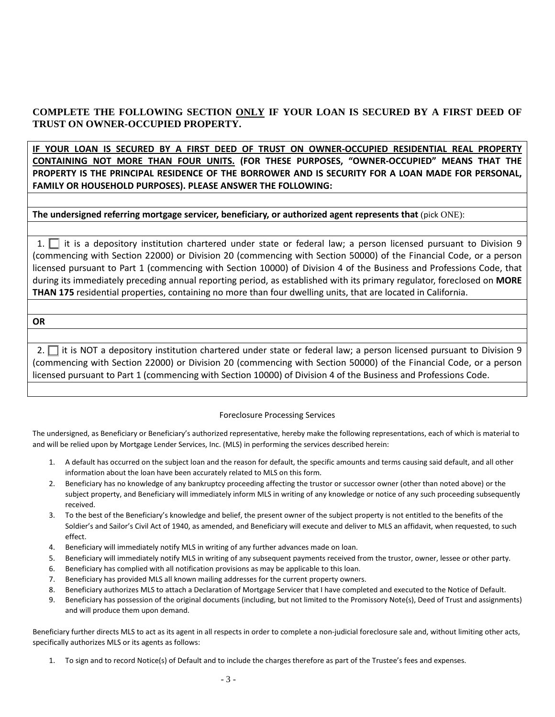## **COMPLETE THE FOLLOWING SECTION ONLY IF YOUR LOAN IS SECURED BY A FIRST DEED OF TRUST ON OWNER-OCCUPIED PROPERTY.**

**IF YOUR LOAN IS SECURED BY A FIRST DEED OF TRUST ON OWNER-OCCUPIED RESIDENTIAL REAL PROPERTY CONTAINING NOT MORE THAN FOUR UNITS. (FOR THESE PURPOSES, "OWNER-OCCUPIED" MEANS THAT THE PROPERTY IS THE PRINCIPAL RESIDENCE OF THE BORROWER AND IS SECURITY FOR A LOAN MADE FOR PERSONAL, FAMILY OR HOUSEHOLD PURPOSES). PLEASE ANSWER THE FOLLOWING:**

**The undersigned referring mortgage servicer, beneficiary, or authorized agent represents that** (pick ONE):

1.  $\Box$  it is a depository institution chartered under state or federal law; a person licensed pursuant to Division 9 (commencing with Section 22000) or Division 20 (commencing with Section 50000) of the Financial Code, or a person licensed pursuant to Part 1 (commencing with Section 10000) of Division 4 of the Business and Professions Code, that during its immediately preceding annual reporting period, as established with its primary regulator, foreclosed on **MORE THAN 175** residential properties, containing no more than four dwelling units, that are located in California.

**OR**

2.  $\Box$  it is NOT a depository institution chartered under state or federal law; a person licensed pursuant to Division 9 (commencing with Section 22000) or Division 20 (commencing with Section 50000) of the Financial Code, or a person licensed pursuant to Part 1 (commencing with Section 10000) of Division 4 of the Business and Professions Code.

## Foreclosure Processing Services

The undersigned, as Beneficiary or Beneficiary's authorized representative, hereby make the following representations, each of which is material to and will be relied upon by Mortgage Lender Services, Inc. (MLS) in performing the services described herein:

- 1. A default has occurred on the subject loan and the reason for default, the specific amounts and terms causing said default, and all other information about the loan have been accurately related to MLS on this form.
- 2. Beneficiary has no knowledge of any bankruptcy proceeding affecting the trustor or successor owner (other than noted above) or the subject property, and Beneficiary will immediately inform MLS in writing of any knowledge or notice of any such proceeding subsequently received.
- 3. To the best of the Beneficiary's knowledge and belief, the present owner of the subject property is not entitled to the benefits of the Soldier's and Sailor's Civil Act of 1940, as amended, and Beneficiary will execute and deliver to MLS an affidavit, when requested, to such effect.
- 4. Beneficiary will immediately notify MLS in writing of any further advances made on loan.
- 5. Beneficiary will immediately notify MLS in writing of any subsequent payments received from the trustor, owner, lessee or other party.
- 6. Beneficiary has complied with all notification provisions as may be applicable to this loan.
- 7. Beneficiary has provided MLS all known mailing addresses for the current property owners.
- 8. Beneficiary authorizes MLS to attach a Declaration of Mortgage Servicer that I have completed and executed to the Notice of Default.
- 9. Beneficiary has possession of the original documents (including, but not limited to the Promissory Note(s), Deed of Trust and assignments) and will produce them upon demand.

Beneficiary further directs MLS to act as its agent in all respects in order to complete a non-judicial foreclosure sale and, without limiting other acts, specifically authorizes MLS or its agents as follows:

1. To sign and to record Notice(s) of Default and to include the charges therefore as part of the Trustee's fees and expenses.